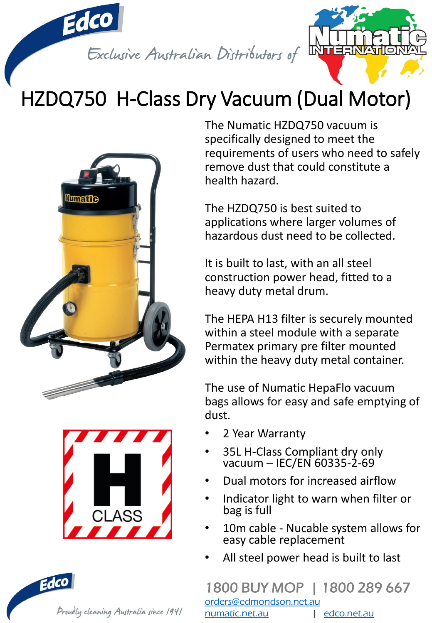

# HZDQ750 H-Class Dry Vacuum (Dual Motor)





The Numatic HZDQ750 vacuum is specifically designed to meet the requirements of users who need to safely remove dust that could constitute a health hazard.

The HZDQ750 is best suited to applications where larger volumes of hazardous dust need to be collected.

It is built to last, with an all steel construction power head, fitted to a heavy duty metal drum.

The HEPA H13 filter is securely mounted within a steel module with a separate Permatex primary pre filter mounted within the heavy duty metal container.

The use of Numatic HepaFlo vacuum bags allows for easy and safe emptying of dust.

- 2 Year Warranty
- 35L H-Class Compliant dry only vacuum – IEC/EN 60335-2-69
- Dual motors for increased airflow
- Indicator light to warn when filter or bag is full
- 10m cable Nucable system allows for easy cable replacement
- All steel power head is built to last

### 1800 BUY MOP | 1800 289 667

[orders@edmondson.net.au](mailto:orders@edmondson.net.au) [numatic.net.au](http://www.numatic.net.au/) | [edco.net.au](http://www.edco.net.au/)

Proudly cleaning Australia since 1941

Edco